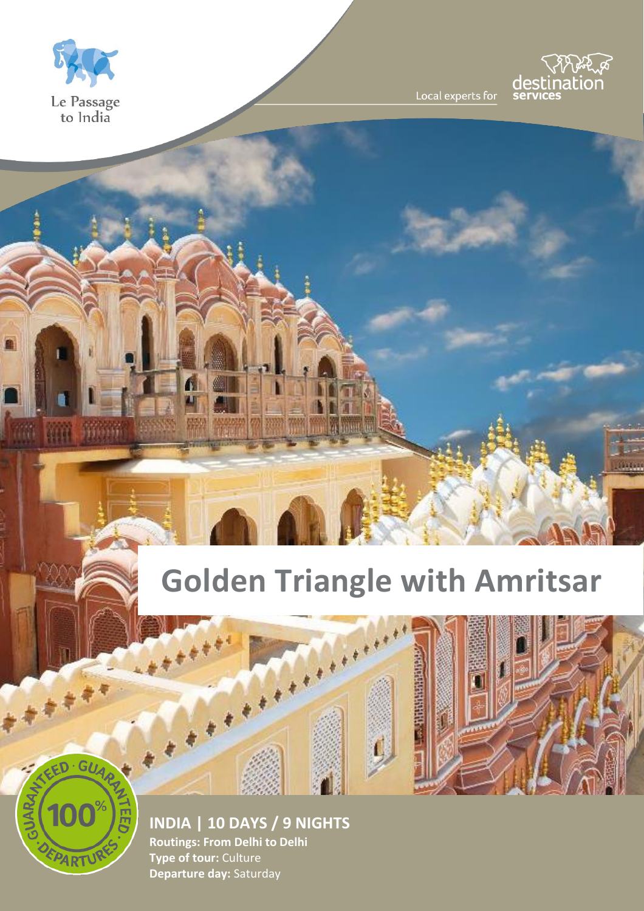



Local experts for

# **Golden Triangle with Amritsar**

**MARINE AND ARRESTS** 

**The Windows** 



**INDIA | 10 DAYS / 9 NIGHTS Routings: From Delhi to Delhi Type of tour:** Culture **Departure day:** Saturday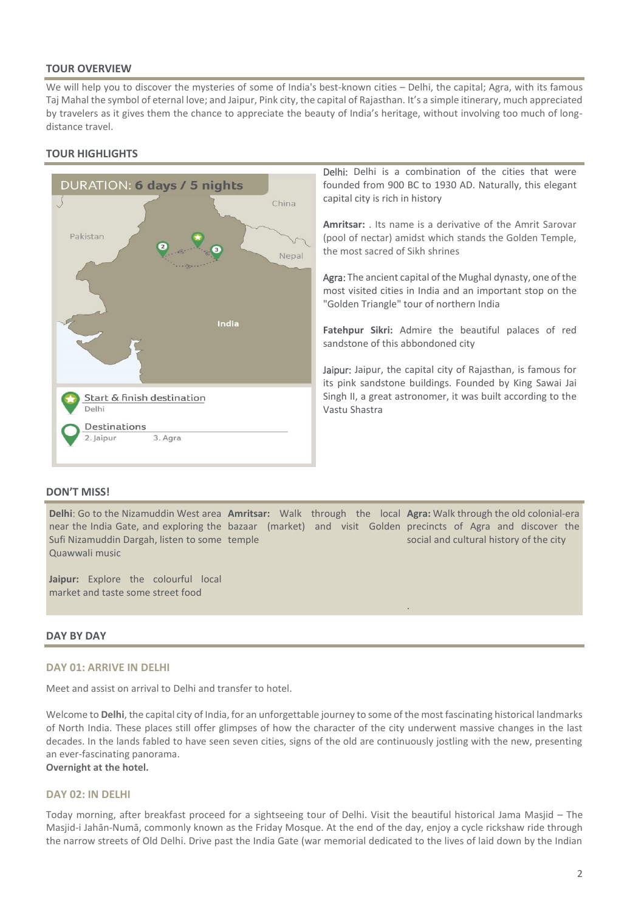## **TOUR OVERVIEW**

We will help you to discover the mysteries of some of India's best-known cities – Delhi, the capital; Agra, with its famous Taj Mahal the symbol of eternal love; and Jaipur, Pink city, the capital of Rajasthan. It's a simple itinerary, much appreciated by travelers as it gives them the chance to appreciate the beauty of India's heritage, without involving too much of longdistance travel.

# **TOUR HIGHLIGHTS**



Delhi: Delhi is a combination of the cities that were founded from 900 BC to 1930 AD. Naturally, this elegant capital city is rich in history

**Amritsar:** . Its name is a derivative of the Amrit Sarovar (pool of nectar) amidst which stands the Golden Temple, the most sacred of Sikh shrines

Agra: The ancient capital of the Mughal dynasty, one of the most visited cities in India and an important stop on the "Golden Triangle" tour of northern India

**Fatehpur Sikri:** Admire the beautiful palaces of red sandstone of this abbondoned city

Jaipur: Jaipur, the capital city of Rajasthan, is famous for its pink sandstone buildings. Founded by King Sawai Jai Singh II, a great astronomer, it was built according to the Vastu Shastra

.

## **DON'T MISS!**

**Delhi**: Go to the Nizamuddin West area **Amritsar:** Walk through the local **Agra:** Walk through the old colonial-era near the India Gate, and exploring the bazaar (market) and visit Golden precincts of Agra and discover the Sufi Nizamuddin Dargah, listen to some temple Quawwali music social and cultural history of the city

**Jaipur:** Explore the colourful local market and taste some street food

## **DAY BY DAY**

#### **DAY 01: ARRIVE IN DELHI**

Meet and assist on arrival to Delhi and transfer to hotel.

Welcome to **Delhi**, the capital city of India, for an unforgettable journey to some of the most fascinating historical landmarks of North India. These places still offer glimpses of how the character of the city underwent massive changes in the last decades. In the lands fabled to have seen seven cities, signs of the old are continuously jostling with the new, presenting an ever-fascinating panorama.

## **Overnight at the hotel.**

### **DAY 02: IN DELHI**

Today morning, after breakfast proceed for a sightseeing tour of Delhi. Visit the beautiful historical Jama Masjid – The Masjid-i Jahān-Numā, commonly known as the Friday Mosque. At the end of the day, enjoy a cycle rickshaw ride through the narrow streets of Old Delhi. Drive past the India Gate (war memorial dedicated to the lives of laid down by the Indian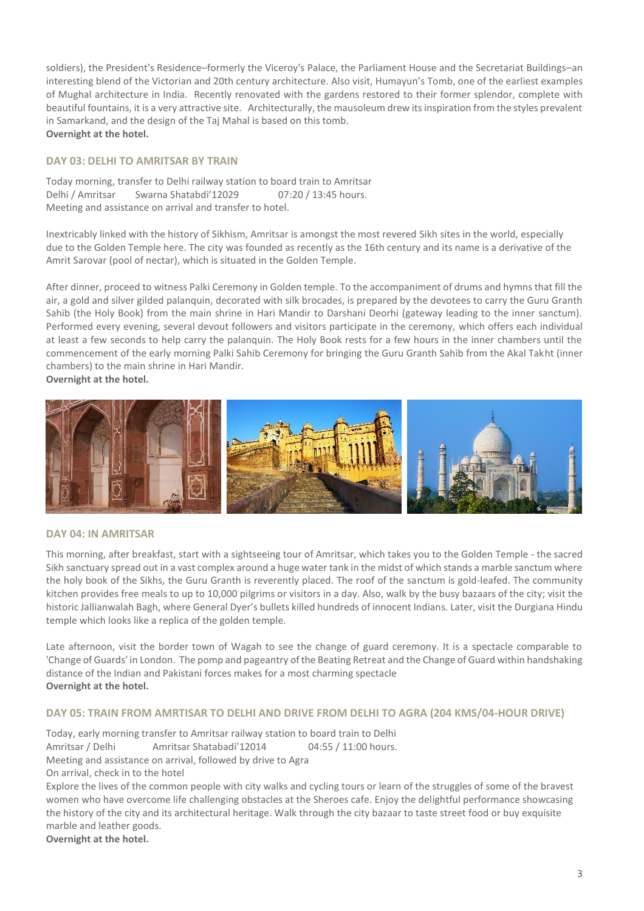soldiers), the President's Residence–formerly the Viceroy's Palace, the Parliament House and the Secretariat Buildings–an interesting blend of the Victorian and 20th century architecture. Also visit, Humayun's Tomb, one of the earliest examples of Mughal architecture in India. Recently renovated with the gardens restored to their former splendor, complete with beautiful fountains, it is a very attractive site. Architecturally, the mausoleum drew its inspiration from the styles prevalent in Samarkand, and the design of the Taj Mahal is based on this tomb. **Overnight at the hotel.** 

## **DAY 03: DELHI TO AMRITSAR BY TRAIN**

Today morning, transfer to Delhi railway station to board train to Amritsar<br>Delhi / Amritsar Swarna Shatabdi'12029 07:20 / 13:45 hours. Delhi / Amritsar Swarna Shatabdi'12029 Meeting and assistance on arrival and transfer to hotel.

Inextricably linked with the history of Sikhism, Amritsar is amongst the most revered Sikh sites in the world, especially due to the Golden Temple here. The city was founded as recently as the 16th century and its name is a derivative of the Amrit Sarovar (pool of nectar), which is situated in the Golden Temple.

After dinner, proceed to witness Palki Ceremony in Golden temple. To the accompaniment of drums and hymns that fill the air, a gold and silver gilded palanquin, decorated with silk brocades, is prepared by the devotees to carry the Guru Granth Sahib (the Holy Book) from the main shrine in Hari Mandir to Darshani Deorhi (gateway leading to the inner sanctum). Performed every evening, several devout followers and visitors participate in the ceremony, which offers each individual at least a few seconds to help carry the palanquin. The Holy Book rests for a few hours in the inner chambers until the commencement of the early morning Palki Sahib Ceremony for bringing the Guru Granth Sahib from the Akal Takht (inner chambers) to the main shrine in Hari Mandir. **Overnight at the hotel.** 



#### **DAY 04: IN AMRITSAR**

This morning, after breakfast, start with a sightseeing tour of Amritsar, which takes you to the Golden Temple - the sacred Sikh sanctuary spread out in a vast complex around a huge water tank in the midst of which stands a marble sanctum where the holy book of the Sikhs, the Guru Granth is reverently placed. The roof of the sanctum is gold-leafed. The community kitchen provides free meals to up to 10,000 pilgrims or visitors in a day. Also, walk by the busy bazaars of the city; visit the historic Jallianwalah Bagh, where General Dyer's bullets killed hundreds of innocent Indians. Later, visit the Durgiana Hindu temple which looks like a replica of the golden temple.

Late afternoon, visit the border town of Wagah to see the change of guard ceremony. It is a spectacle comparable to 'Change of Guards' in London. The pomp and pageantry of the Beating Retreat and the Change of Guard within handshaking distance of the Indian and Pakistani forces makes for a most charming spectacle **Overnight at the hotel.** 

#### **DAY 05: TRAIN FROM AMRTISAR TO DELHI AND DRIVE FROM DELHI TO AGRA (204 KMS/04-HOUR DRIVE)**

Today, early morning transfer to Amritsar railway station to board train to Delhi Amritsar / Delhi Amritsar Shatabadi'12014 04:55 / 11:00 hours. Meeting and assistance on arrival, followed by drive to Agra On arrival, check in to the hotel Explore the lives of the common people with city walks and cycling tours or learn of the struggles of some of the bravest women who have overcome life challenging obstacles at the Sheroes cafe. Enjoy the delightful performance showcasing the history of the city and its architectural heritage. Walk through the city bazaar to taste street food or buy exquisite marble and leather goods.

**Overnight at the hotel.**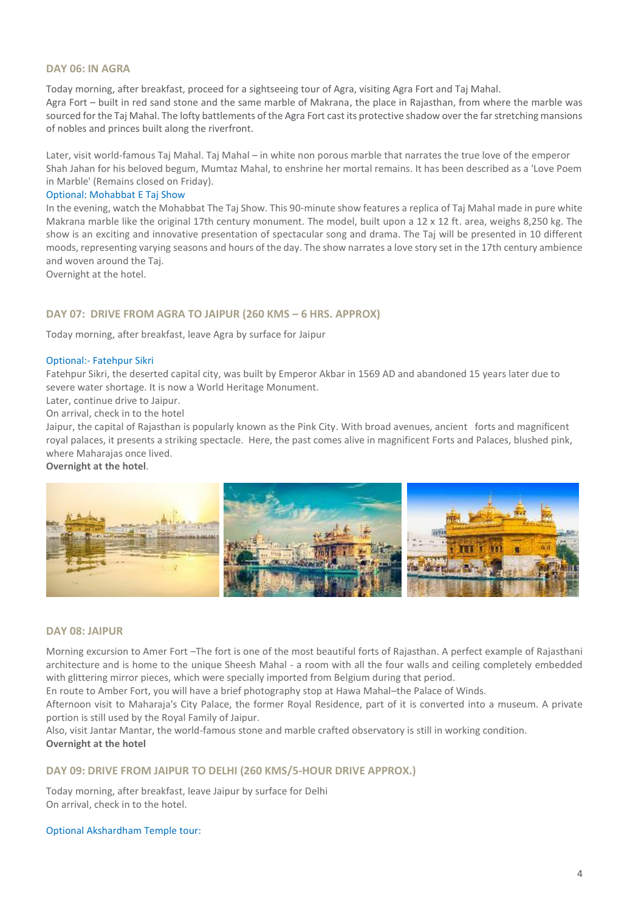## **DAY 06: IN AGRA**

Today morning, after breakfast, proceed for a sightseeing tour of Agra, visiting Agra Fort and Taj Mahal. Agra Fort – built in red sand stone and the same marble of Makrana, the place in Rajasthan, from where the marble was sourced for the Taj Mahal. The lofty battlements of the Agra Fort cast its protective shadow over the far stretching mansions of nobles and princes built along the riverfront.

Later, visit world-famous Taj Mahal. Taj Mahal – in white non porous marble that narrates the true love of the emperor Shah Jahan for his beloved begum, Mumtaz Mahal, to enshrine her mortal remains. It has been described as a 'Love Poem in Marble' (Remains closed on Friday).

#### Optional: Mohabbat E Taj Show

In the evening, watch the Mohabbat The Taj Show. This 90-minute show features a replica of Taj Mahal made in pure white Makrana marble like the original 17th century monument. The model, built upon a 12 x 12 ft. area, weighs 8,250 kg. The show is an exciting and innovative presentation of spectacular song and drama. The Taj will be presented in 10 different moods, representing varying seasons and hours of the day. The show narrates a love story set in the 17th century ambience and woven around the Taj.

Overnight at the hotel.

### **DAY 07: DRIVE FROM AGRA TO JAIPUR (260 KMS – 6 HRS. APPROX)**

Today morning, after breakfast, leave Agra by surface for Jaipur

#### Optional:- Fatehpur Sikri

Fatehpur Sikri, the deserted capital city, was built by Emperor Akbar in 1569 AD and abandoned 15 years later due to severe water shortage. It is now a World Heritage Monument.

Later, continue drive to Jaipur.

On arrival, check in to the hotel

Jaipur, the capital of Rajasthan is popularly known as the Pink City. With broad avenues, ancient forts and magnificent royal palaces, it presents a striking spectacle. Here, the past comes alive in magnificent Forts and Palaces, blushed pink, where Maharajas once lived.

**Overnight at the hotel**.



#### **DAY 08: JAIPUR**

Morning excursion to Amer Fort –The fort is one of the most beautiful forts of Rajasthan. A perfect example of Rajasthani architecture and is home to the unique Sheesh Mahal - a room with all the four walls and ceiling completely embedded with glittering mirror pieces, which were specially imported from Belgium during that period.

En route to Amber Fort, you will have a brief photography stop at Hawa Mahal–the Palace of Winds.

Afternoon visit to Maharaja's City Palace, the former Royal Residence, part of it is converted into a museum. A private portion is still used by the Royal Family of Jaipur.

Also, visit Jantar Mantar, the world-famous stone and marble crafted observatory is still in working condition. **Overnight at the hotel** 

#### **DAY 09: DRIVE FROM JAIPUR TO DELHI (260 KMS/5-HOUR DRIVE APPROX.)**

Today morning, after breakfast, leave Jaipur by surface for Delhi On arrival, check in to the hotel.

#### Optional Akshardham Temple tour: